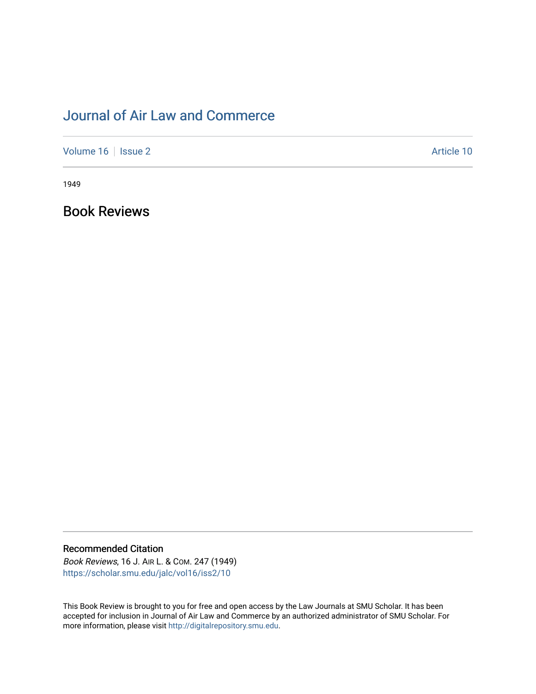## [Journal of Air Law and Commerce](https://scholar.smu.edu/jalc)

[Volume 16](https://scholar.smu.edu/jalc/vol16) | [Issue 2](https://scholar.smu.edu/jalc/vol16/iss2) Article 10

1949

Book Reviews

## Recommended Citation

Book Reviews, 16 J. AIR L. & COM. 247 (1949) [https://scholar.smu.edu/jalc/vol16/iss2/10](https://scholar.smu.edu/jalc/vol16/iss2/10?utm_source=scholar.smu.edu%2Fjalc%2Fvol16%2Fiss2%2F10&utm_medium=PDF&utm_campaign=PDFCoverPages)

This Book Review is brought to you for free and open access by the Law Journals at SMU Scholar. It has been accepted for inclusion in Journal of Air Law and Commerce by an authorized administrator of SMU Scholar. For more information, please visit [http://digitalrepository.smu.edu](http://digitalrepository.smu.edu/).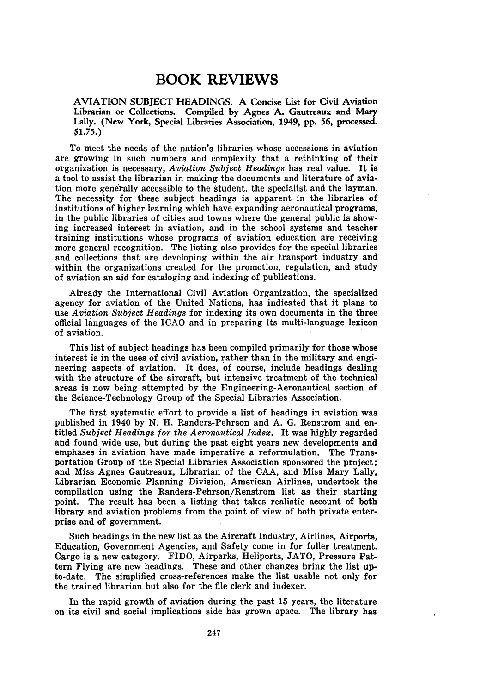## **BOOK REVIEWS**

AVIATION **SUBJECT** HEADINGS. **A** Concise List for Civil Aviation Librarian or Collections. Compiled **by** Agnes A. Gautreaux and Mary Lally. (New York, Special Libraries Association, 1949, **pp. 56,** processed. \$1.75.)

To meet the needs of the nation's libraries whose accessions in aviation are growing in such numbers and complexity that a rethinking of their organization is necessary, *Aviation Subject Headings* has real value. It is a tool to assist the librarian in making the documents and literature of aviation more generally accessible to the student, the specialist and the layman. The necessity for these subject headings is apparent in the libraries of institutions of higher learning which have expanding aeronautical programs, in the public libraries of cities and towns where the general public is showing increased interest in aviation, and in the school systems and teacher training institutions whose programs of aviation education are receiving more general recognition. The listing also provides for the special libraries and collections that are developing within the air transport industry and within the organizations created for the promotion, regulation, and study of aviation an aid for cataloging and indexing of publications.

Already the International Civil Aviation Organization, the specialized agency for aviation of the United Nations, has indicated that it plans to use *Aviation Subject Headings* for indexing its own documents in the three official languages of the ICAO and in preparing its multi-language lexicon of aviation.

This list of subject headings has been compiled primarily for those whose interest is in the uses of civil aviation, rather than in the military and engineering aspects of aviation. It does, of course, include headings dealing with the structure of the aircraft, but intensive treatment of the technical areas is now being attempted by the Engineering-Aeronautical section of the Science-Technology Group of the Special Libraries Association.

The first systematic effort to provide a list of headings in aviation was published in 1940 by N. H. Randers-Pehrson and A. G. Renstrom and entitled *Subject Headings for the Aeronautical Index.* It was highly regarded and found wide use, but during the past eight years new developments and emphases in aviation have made imperative a reformulation. The Transportation Group of the Special Libraries Association sponsored the project; and Miss Agnes Gautreaux, Librarian of the CAA, and Miss Mary Lally, Librarian Economic Planning Division, American Airlines, undertook the compilation using the Randers-Pehrson/Renstrom list as their starting point. The result has been a listing that takes realistic account of both library and aviation problems from the point of view of both private enterprise and of government.

Such headings in the new list as the Aircraft Industry, Airlines, Airports, Education, Government Agencies, and Safety come in for fuller treatment. Cargo is a new category. FIDO, Airparks, Heliports, JATO, Pressure Pattern Flying are new headings. These and other changes bring the list upto-date. The simplified cross-references make the list usable not only for the trained librarian but also for the file clerk and indexer.

In the rapid growth of aviation during the past 15 years, the literature on its civil and social implications side has grown apace. The library has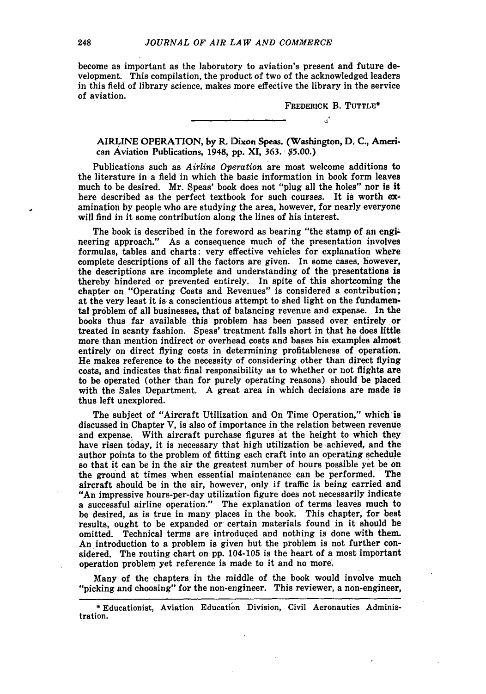become as important as the laboratory to aviation's present and future development. This compilation, the product of two of the acknowledged leaders in this field of library science, makes more effective the library in the service of aviation.

> FREDERICK B. **TUTTLE\***  $\ddot{\phantom{a}}$

AIRLINE OPERATION, **by** R. Dixon Speas. (Washington, **D. C.,** American Aviation Publications, 1948, **pp. XI, 363. \$5.00.)**

Publications such as *Airline Operation* are most welcome additions to the literature in a field in which the basic information in book form leaves much to be desired. Mr. Speas' book does not "plug all the holes" nor is it here described as the perfect textbook for such courses. It is worth **ex**amination **by** people who are studying the area, however, for nearly everyone will find in it some contribution along the lines of his interest.

The book is described in the foreword as bearing "the stamp of an engineering approach." As a consequence much of the presentation involves formulas, tables and charts: very effective vehicles for explanation where complete descriptions of all the factors are given. In some cases, however, the descriptions are incomplete and understanding of the presentations is thereby hindered or prevented entirely. In spite of this shortcoming the chapter on "Operating Costs and Revenues" is considered a contribution; at the very least it is a conscientious attempt to shed light on the fundamental problem of all businesses, that of balancing revenue and expense. In the books thus far available this problem has been passed over entirely or treated in scanty fashion. Speas' treatment falls short in that he does little more than mention indirect or overhead costs and bases his examples almost entirely on direct flying costs in determining profitableness of operation. He makes reference to the necessity of considering other than direct flying costs, and indicates that final responsibility as to whether or not flights are to be operated (other than for purely operating reasons) should be placed with the Sales Department. **A** great area in which decisions are made is thus left unexplored.

The subject of "Aircraft Utilization and On Time Operation," which is discussed in Chapter V, is also of importance in the relation between revenue and expense. With aircraft purchase figures at the height to which they have risen today, it is necessary that high utilization be achieved, and the author points to the problem of fitting each craft into an operating schedule so that it can be in the air the greatest number of hours possible yet be on the ground at times when essential maintenance can be performed. The aircraft should be in the air, however, only if traffic is being carried and "An impressive hours-per-day utilization figure does not necessarily indicate a successful airline operation." The explanation of terms leaves much to be desired, as is true in many places in the book. This chapter, for best results, ought to be expanded or certain materials found in it should be omitted. Technical terms are introduced and nothing is done with them. An introduction to a problem is given but the problem is not further considered. The routing chart on **pp.** 104-105 is the heart of a most important operation problem yet reference is made to it and no more.

Many of the chapters. in the middle of the book would involve much "picking and choosing" for the non-engineer. This reviewer, a non-engineer,

**<sup>\*</sup>** Educationist, Aviation Education Division, Civil Aeronautics Administration.